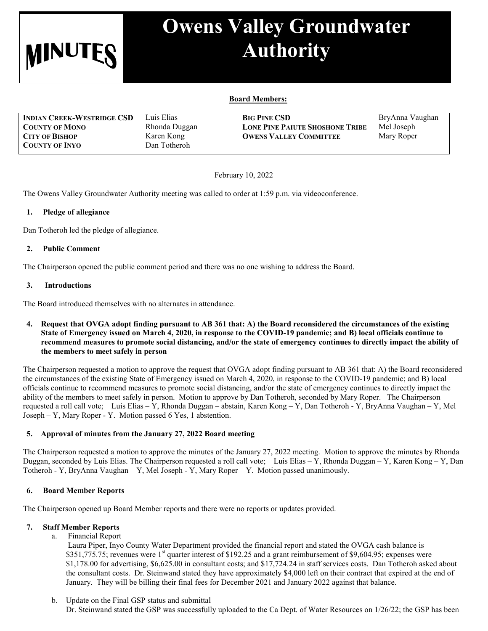

# **Owens Valley Groundwater Authority**

## **Board Members:**

| <b>INDIAN CREEK-WESTRIDGE CSD</b> | Luis Elias    | <b>BIG PINE CSD</b>                    | BryAnna Vaughan |
|-----------------------------------|---------------|----------------------------------------|-----------------|
| <b>COUNTY OF MONO</b>             | Rhonda Duggan | <b>LONE PINE PAIUTE SHOSHONE TRIBE</b> | Mel Joseph      |
| <b>CITY OF BISHOP</b>             | Karen Kong    | <b>OWENS VALLEY COMMITTEE</b>          | Mary Roper      |
| <b>COUNTY OF INYO</b>             | Dan Totheroh  |                                        |                 |

February 10, 2022

The Owens Valley Groundwater Authority meeting was called to order at 1:59 p.m. via videoconference.

#### **1. Pledge of allegiance**

Dan Totheroh led the pledge of allegiance.

#### **2. Public Comment**

The Chairperson opened the public comment period and there was no one wishing to address the Board.

#### **3.****Introductions**

The Board introduced themselves with no alternates in attendance.

**4. Request that OVGA adopt finding pursuant to AB 361 that: A) the Board reconsidered the circumstances of the existing State of Emergency issued on March 4, 2020, in response to the COVID-19 pandemic; and B) local officials continue to recommend measures to promote social distancing, and/or the state of emergency continues to directly impact the ability of the members to meet safely in person**

The Chairperson requested a motion to approve the request that OVGA adopt finding pursuant to AB 361 that: A) the Board reconsidered the circumstances of the existing State of Emergency issued on March 4, 2020, in response to the COVID-19 pandemic; and B) local officials continue to recommend measures to promote social distancing, and/or the state of emergency continues to directly impact the ability of the members to meet safely in person. Motion to approve by Dan Totheroh, seconded by Mary Roper. The Chairperson requested a roll call vote; Luis Elias – Y, Rhonda Duggan – abstain, Karen Kong – Y, Dan Totheroh - Y, BryAnna Vaughan – Y, Mel Joseph – Y, Mary Roper - Y. Motion passed 6 Yes, 1 abstention.

## **5. Approval of minutes from the January 27, 2022 Board meeting**

The Chairperson requested a motion to approve the minutes of the January 27, 2022 meeting. Motion to approve the minutes by Rhonda Duggan, seconded by Luis Elias. The Chairperson requested a roll call vote; Luis Elias – Y, Rhonda Duggan – Y, Karen Kong – Y, Dan Totheroh - Y, BryAnna Vaughan – Y, Mel Joseph - Y, Mary Roper – Y. Motion passed unanimously.

### **6. Board Member Reports**

The Chairperson opened up Board Member reports and there were no reports or updates provided.

### **7. Staff Member Reports**

a. Financial Report

Laura Piper, Inyo County Water Department provided the financial report and stated the OVGA cash balance is  $$351,775.75$ ; revenues were 1<sup>st</sup> quarter interest of \$192.25 and a grant reimbursement of \$9,604.95; expenses were \$1,178.00 for advertising, \$6,625.00 in consultant costs; and \$17,724.24 in staff services costs. Dan Totheroh asked about the consultant costs. Dr. Steinwand stated they have approximately \$4,000 left on their contract that expired at the end of January. They will be billing their final fees for December 2021 and January 2022 against that balance.

b. Update on the Final GSP status and submittal Dr. Steinwand stated the GSP was successfully uploaded to the Ca Dept. of Water Resources on 1/26/22; the GSP has been